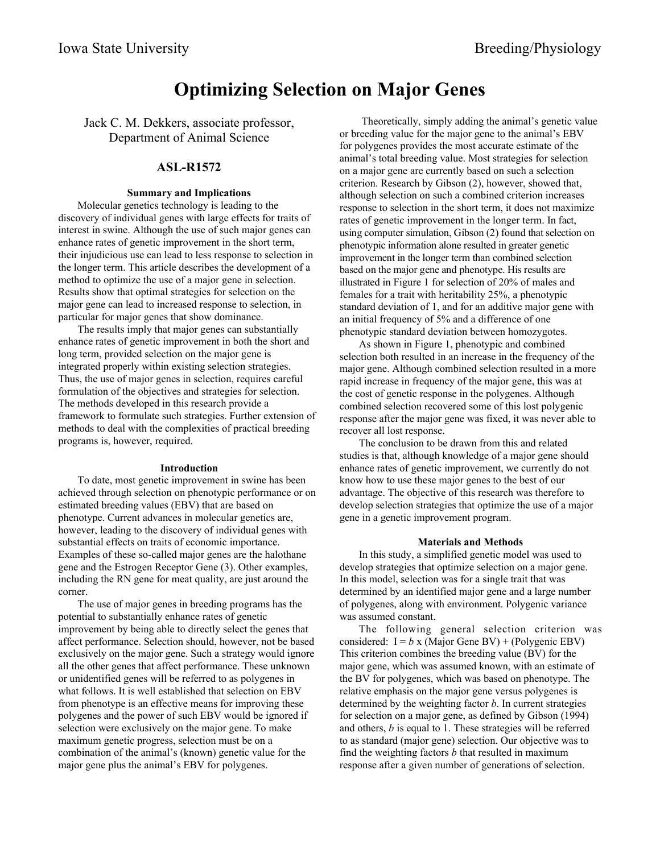# **Optimizing Selection on Major Genes**

Jack C. M. Dekkers, associate professor, Department of Animal Science

## **ASL-R1572**

### **Summary and Implications**

Molecular genetics technology is leading to the discovery of individual genes with large effects for traits of interest in swine. Although the use of such major genes can enhance rates of genetic improvement in the short term, their injudicious use can lead to less response to selection in the longer term. This article describes the development of a method to optimize the use of a major gene in selection. Results show that optimal strategies for selection on the major gene can lead to increased response to selection, in particular for major genes that show dominance.

The results imply that major genes can substantially enhance rates of genetic improvement in both the short and long term, provided selection on the major gene is integrated properly within existing selection strategies. Thus, the use of major genes in selection, requires careful formulation of the objectives and strategies for selection. The methods developed in this research provide a framework to formulate such strategies. Further extension of methods to deal with the complexities of practical breeding programs is, however, required.

#### **Introduction**

To date, most genetic improvement in swine has been achieved through selection on phenotypic performance or on estimated breeding values (EBV) that are based on phenotype. Current advances in molecular genetics are, however, leading to the discovery of individual genes with substantial effects on traits of economic importance. Examples of these so-called major genes are the halothane gene and the Estrogen Receptor Gene (3). Other examples, including the RN gene for meat quality, are just around the corner.

The use of major genes in breeding programs has the potential to substantially enhance rates of genetic improvement by being able to directly select the genes that affect performance. Selection should, however, not be based exclusively on the major gene. Such a strategy would ignore all the other genes that affect performance. These unknown or unidentified genes will be referred to as polygenes in what follows. It is well established that selection on EBV from phenotype is an effective means for improving these polygenes and the power of such EBV would be ignored if selection were exclusively on the major gene. To make maximum genetic progress, selection must be on a combination of the animal's (known) genetic value for the major gene plus the animal's EBV for polygenes.

 Theoretically, simply adding the animal's genetic value or breeding value for the major gene to the animal's EBV for polygenes provides the most accurate estimate of the animal's total breeding value. Most strategies for selection on a major gene are currently based on such a selection criterion. Research by Gibson (2), however, showed that, although selection on such a combined criterion increases response to selection in the short term, it does not maximize rates of genetic improvement in the longer term. In fact, using computer simulation, Gibson  $(2)$  found that selection on phenotypic information alone resulted in greater genetic im provement in the longer term than combined selection based on the major gene and phenotype. His results are illustrated in Figure 1 for selection of 20% of males and females for a trait with heritability 25%, a phenotypic standard deviation of 1, and for an additive major gene with an initial frequency of 5% and a difference of one phenotypic standard deviation between homozygotes.

As shown in Figure 1, phenotypic and combined selection both resulted in an increase in the frequency of the major gene. Although combined selection resulted in a more rapid increase in frequency of the major gene, this was at the cost of genetic response in the polygenes. Although combined selection recovered some of this lost polygenic response after the major gene was fixed, it was never able to recover all lost response.

The conclusion to be drawn from this and related studies is that, although knowledge of a major gene should enhance rates of genetic improvement, we currently do not know how to use these major genes to the best of our advantage. The objective of this research was therefore to develop selection strategies that optimize the use of a major gene in a genetic improvement program.

#### **Materials and Methods**

In this study, a simplified genetic model was used to develop strategies that optimize selection on a major gene. In this model, selection was for a single trait that was determined by an identified major gene and a large number of polygenes, along with environment. Polygenic variance was assumed constant.

The following general selection criterion was considered:  $I = b \times (Major Gene BV) + (Polygenic EBV)$ This criterion combines the breeding value (BV) for the major gene, which was assumed known, with an estimate of the BV for polygenes, which was based on phenotype. The relative emphasis on the major gene versus polygenes is determined by the weighting factor *b*. In current strategies for selection on a major gene, as defined by Gibson (1994) and others, *b* is equal to 1. These strategies will be referred to as standard (major gene) selection. Our objective was to find the weighting factors *b* that resulted in maximum response after a given number of generations of selection.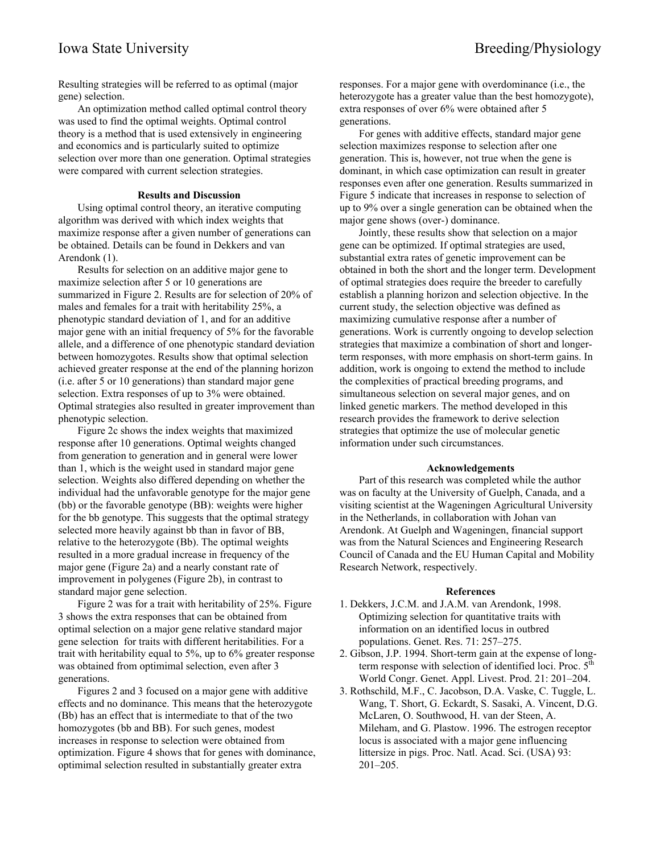Resulting strategies will be referred to as optimal (major gene) selection.

An optimization method called optimal control theory was used to find the optimal weights. Optimal control theory is a method that is used extensively in engineering and economics and is particularly suited to optimize selection over more than one generation. Optimal strategies were compared with current selection strategies.

#### **Results and Discussion**

Using optimal control theory, an iterative computing algorithm was derived with which index weights that maximize response after a given number of generations can be obtained. Details can be found in Dekkers and van Arendonk (1).

Results for selection on an additive major gene to maximize selection after 5 or 10 generations are summarized in Figure 2. Results are for selection of 20% of males and females for a trait with heritability 25%, a phenotypic standard deviation of 1, and for an additive major gene with an initial frequency of 5% for the favorable allele, and a difference of one phenotypic standard deviation between homozygotes. Results show that optimal selection achieved greater response at the end of the planning horizon (i.e. after 5 or 10 generations) than standard major gene selection. Extra responses of up to 3% were obtained. Optimal strategies also resulted in greater improvement than phenotypic selection.

Figure 2c shows the index weights that maximized response after 10 generations. Optimal weights changed from generation to generation and in general were lower than 1, which is the weight used in standard major gene selection. Weights also differed depending on whether the individual had the unfavorable genotype for the major gene (bb) or the favorable genotype (BB): weights were higher for the bb genotype. This suggests that the optimal strategy selected more heavily against bb than in favor of BB, relative to the heterozygote (Bb). The optimal weights resulted in a more gradual increase in frequency of the major gene (Figure 2a) and a nearly constant rate of improvement in polygenes (Figure 2b), in contrast to standard major gene selection.

Figure 2 was for a trait with heritability of 25%. Figure 3 shows the extra responses that can be obtained from optimal selection on a major gene relative standard major gene selection for traits with different heritabilities. For a trait with heritability equal to 5%, up to 6% greater response was obtained from optimimal selection, even after 3 generations.

Figures 2 and 3 focused on a major gene with additive effects and no dominance. This means that the heterozygote (Bb) has an effect that is intermediate to that of the two homozygotes (bb and BB). For such genes, modest increases in response to selection were obtained from optimization. Figure 4 shows that for genes with dominance, optimimal selection resulted in substantially greater extra

responses. For a major gene with overdominance (i.e., the heterozygote has a greater value than the best homozygote). extra responses of over 6% were obtained after 5 generations.

For genes with additive effects, standard major gene selection maximizes response to selection after one generation. This is, however, not true when the gene is dominant, in which case optimization can result in greater responses even after one generation. Results summarized in Figure 5 indicate that increases in response to selection of up to 9% over a single generation can be obtained when the major gene shows (over-) dominance.

Jointly, these results show that selection on a major gene can be optimized. If optimal strategies are used, substantial extra rates of genetic improvement can be obtained in both the short and the longer term. Development of optimal strategies does require the breeder to carefully establish a planning horizon and selection objective. In the current study, the selection objective was defined as maximizing cumulative response after a number of generations. Work is currently ongoing to develop selection strategies that maximize a combination of short and longerterm responses, with more emphasis on short-term gains. In addition, work is ongoing to extend the method to include the complexities of practical breeding programs, and simultaneous selection on several major genes, and on linked genetic markers. The method developed in this research provides the framework to derive selection strategies that optimize the use of molecular genetic information under such circumstances.

#### **Acknowledgements**

Part of this research was completed while the author was on faculty at the University of Guelph, Canada, and a visiting scientist at the Wageningen Agricultural University in the Netherlands, in collaboration with Johan van Arendonk. At Guelph and Wageningen, financial support was from the Natural Sciences and Engineering Research Council of Canada and the EU Human Capital and Mobility Research Network, respectively.

#### **References**

- 1. Dekkers, J.C.M. and J.A.M. van Arendonk, 1998. Optimizing selection for quantitative traits with information on an identified locus in outbred populations. Genet. Res. 71: 257–275.
- 2. Gibson, J.P. 1994. Short-term gain at the expense of longterm response with selection of identified loci. Proc.  $5<sup>th</sup>$ World Congr. Genet. Appl. Livest. Prod. 21: 201–204.
- 3. Rothschild, M.F., C. Jacobson, D.A. Vaske, C. Tuggle, L. Wang, T. Short, G. Eckardt, S. Sasaki, A. Vincent, D.G. McLaren, O. Southwood, H. van der Steen, A. Mileham, and G. Plastow. 1996. The estrogen receptor locus is associated with a major gene influencing littersize in pigs. Proc. Natl. Acad. Sci. (USA) 93: 201–205.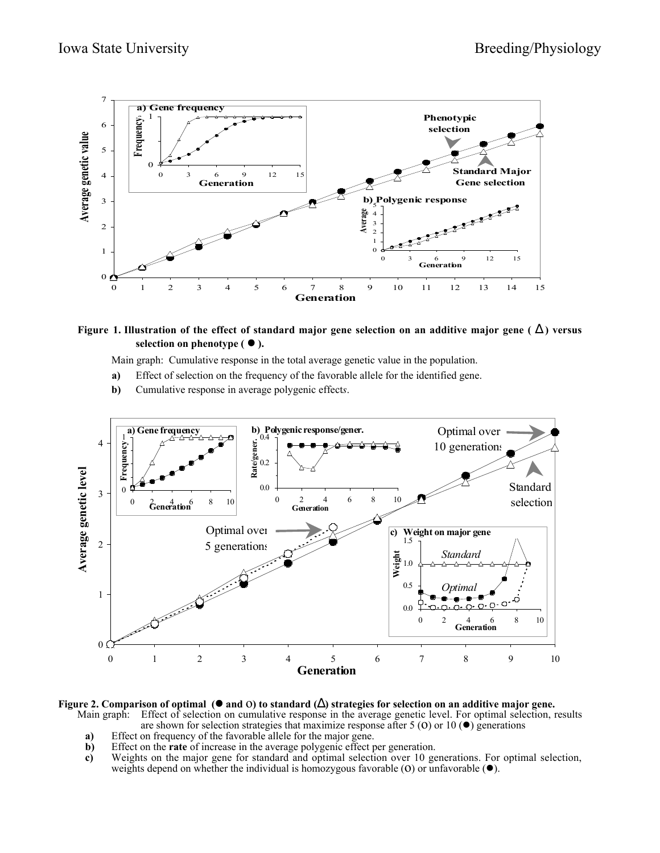

### **Figure 1. Illustration of the effect of standard major gene selection on an additive major gene (** ∆ **) versus** selection on phenotype  $($   $\bullet$   $)$ .

Main graph: Cumulative response in the total average genetic value in the population.

- **a)** Effect of selection on the frequency of the favorable allele for the identified gene.
- **b)** Cumulative response in average polygenic effect*s*.



# **Figure 2. Comparison of optimal (**l **and** o**) to standard (**∆**) strategies for selection on an additive major gene.**

Effect of selection on cumulative response in the average genetic level. For optimal selection, results are shown for selection strategies that maximize response after 5 (O) or 10 ( $\bullet$ ) generations

- **a)** Effect on frequency of the favorable allele for the major gene.
- **b)** Effect on the **rate** of increase in the average polygenic effect per generation.
- **c)** Weights on the major gene for standard and optimal selection over 10 generations. For optimal selection, weights depend on whether the individual is homozygous favorable  $(0)$  or unfavorable  $(•)$ .